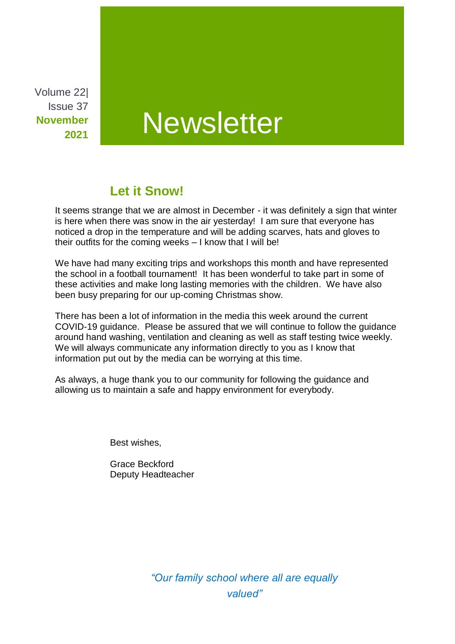Volume 22| Issue 37 **November 2021**

# **Newsletter**

## **Let it Snow!**

It seems strange that we are almost in December - it was definitely a sign that winter is here when there was snow in the air yesterday! I am sure that everyone has noticed a drop in the temperature and will be adding scarves, hats and gloves to their outfits for the coming weeks – I know that I will be!

We have had many exciting trips and workshops this month and have represented the school in a football tournament! It has been wonderful to take part in some of these activities and make long lasting memories with the children. We have also been busy preparing for our up-coming Christmas show.

There has been a lot of information in the media this week around the current COVID-19 guidance. Please be assured that we will continue to follow the guidance around hand washing, ventilation and cleaning as well as staff testing twice weekly. We will always communicate any information directly to you as I know that information put out by the media can be worrying at this time.

As always, a huge thank you to our community for following the guidance and allowing us to maintain a safe and happy environment for everybody.

Best wishes,

Grace Beckford Deputy Headteacher

> *"Our family school where all are equally valued"*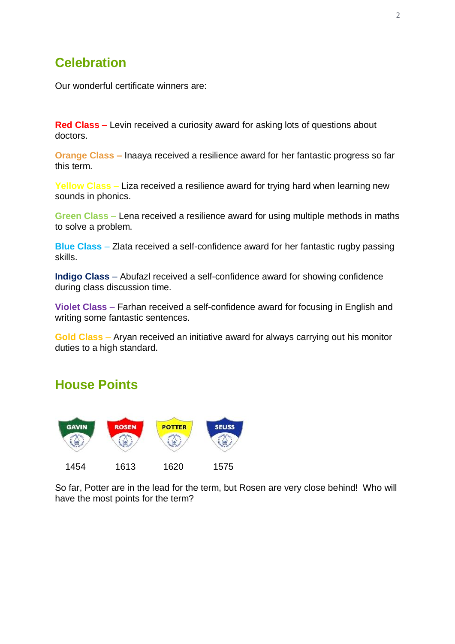## **Celebration**

Our wonderful certificate winners are:

**Red Class –** Levin received a curiosity award for asking lots of questions about doctors.

**Orange Class –** Inaaya received a resilience award for her fantastic progress so far this term.

**Yellow Class** – Liza received a resilience award for trying hard when learning new sounds in phonics.

**Green Class** – Lena received a resilience award for using multiple methods in maths to solve a problem.

**Blue Class** – Zlata received a self-confidence award for her fantastic rugby passing skills.

**Indigo Class** – Abufazl received a self-confidence award for showing confidence during class discussion time.

**Violet Class** – Farhan received a self-confidence award for focusing in English and writing some fantastic sentences.

**Gold Class** – Aryan received an initiative award for always carrying out his monitor duties to a high standard.

#### **House Points**



So far, Potter are in the lead for the term, but Rosen are very close behind! Who will have the most points for the term?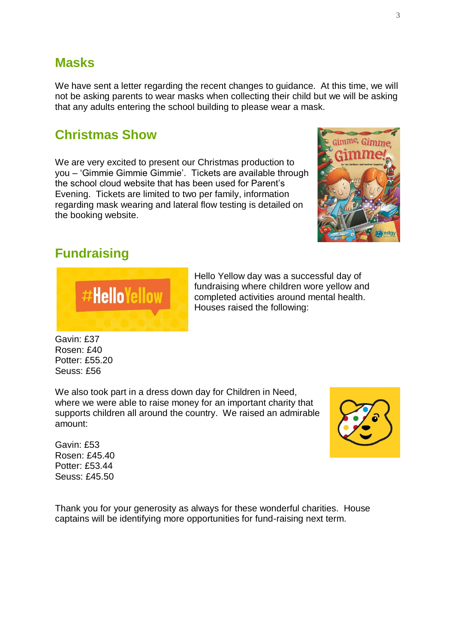#### **Masks**

We have sent a letter regarding the recent changes to guidance. At this time, we will not be asking parents to wear masks when collecting their child but we will be asking that any adults entering the school building to please wear a mask.

#### **Christmas Show**

We are very excited to present our Christmas production to you – 'Gimmie Gimmie Gimmie'. Tickets are available through the school cloud website that has been used for Parent's Evening. Tickets are limited to two per family, information regarding mask wearing and lateral flow testing is detailed on the booking website.



## **Fundraising**



Hello Yellow day was a successful day of fundraising where children wore yellow and completed activities around mental health. Houses raised the following:

Gavin: £37 Rosen: £40 Potter: £55.20 Seuss: £56

We also took part in a dress down day for Children in Need, where we were able to raise money for an important charity that supports children all around the country. We raised an admirable amount:

Gavin: £53 Rosen: £45.40 Potter: £53.44 Seuss: £45.50



Thank you for your generosity as always for these wonderful charities. House captains will be identifying more opportunities for fund-raising next term.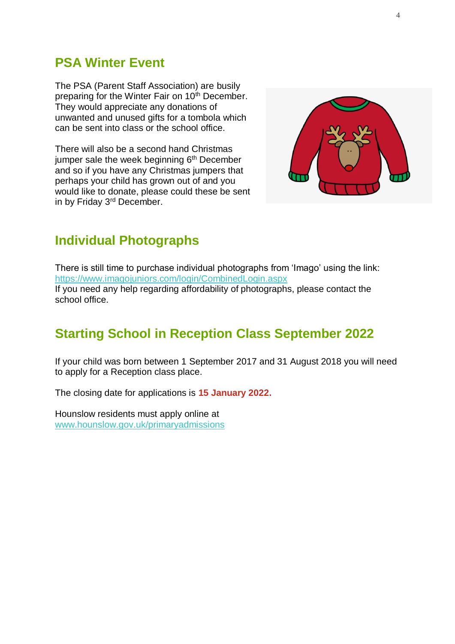#### **PSA Winter Event**

The PSA (Parent Staff Association) are busily preparing for the Winter Fair on 10<sup>th</sup> December. They would appreciate any donations of unwanted and unused gifts for a tombola which can be sent into class or the school office.

There will also be a second hand Christmas jumper sale the week beginning  $6<sup>th</sup>$  December and so if you have any Christmas jumpers that perhaps your child has grown out of and you would like to donate, please could these be sent in by Friday 3rd December.



# **Individual Photographs**

There is still time to purchase individual photographs from 'Imago' using the link: <https://www.imagojuniors.com/login/CombinedLogin.aspx> If you need any help regarding affordability of photographs, please contact the school office.

# **Starting School in Reception Class September 2022**

If your child was born between 1 September 2017 and 31 August 2018 you will need to apply for a Reception class place.

The closing date for applications is **15 January 2022.**

Hounslow residents must apply online at [www.hounslow.gov.uk/primaryadmissions](http://www.hounslow.gov.uk/primaryadmissions)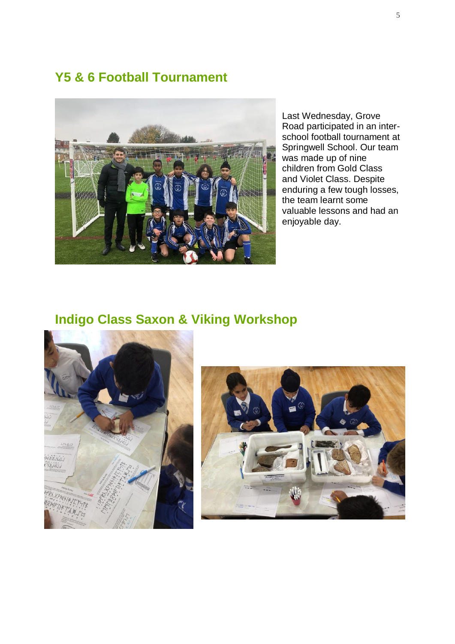## **Y5 & 6 Football Tournament**



Last Wednesday, Grove Road participated in an interschool football tournament at Springwell School. Our team was made up of nine children from Gold Class and Violet Class. Despite enduring a few tough losses, the team learnt some valuable lessons and had an enjoyable day.

# **Indigo Class Saxon & Viking Workshop**